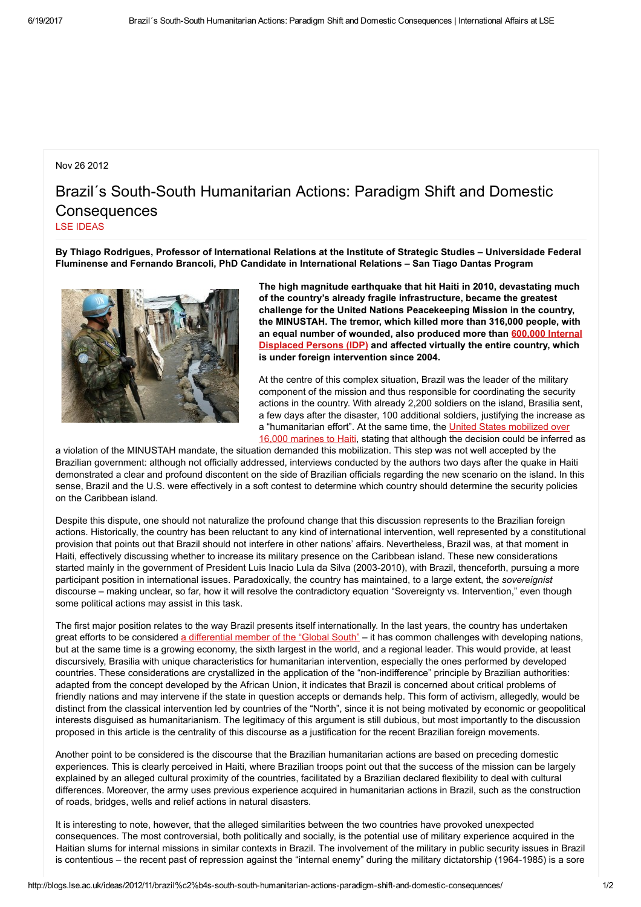## Nov 26 2012

## Brazil's South-South Humanitarian Actions: Paradigm Shift and Domestic **Consequences** LSE [IDEAS](http://blogs.lse.ac.uk/ideas/author/KOUSTOUM/)

By Thiago Rodrigues, Professor of International Relations at the Institute of Strategic Studies – Universidade Federal Fluminense and Fernando Brancoli, PhD Candidate in International Relations – San Tiago Dantas Program



The high magnitude earthquake that hit Haiti in 2010, devastating much of the country's already fragile infrastructure, became the greatest challenge for the United Nations Peacekeeping Mission in the country, the MINUSTAH. The tremor, which killed more than 316,000 people, with an equal number of [wounded,](http://sites.tufts.edu/jha/archives/869) also produced more than 600,000 Internal Displaced Persons (IDP) and affected virtually the entire country, which is under foreign intervention since 2004.

At the centre of this complex situation, Brazil was the leader of the military component of the mission and thus responsible for coordinating the security actions in the country. With already 2,200 soldiers on the island, Brasilia sent, a few days after the disaster, 100 additional soldiers, justifying the increase as a ["humanitarian](http://news.bbc.co.uk/2/hi/americas/8471460.stm) effort". At the same time, the United States mobilized over 16,000 marines to Haiti, stating that although the decision could be inferred as

a violation of the MINUSTAH mandate, the situation demanded this mobilization. This step was not well accepted by the Brazilian government: although not officially addressed, interviews conducted by the authors two days after the quake in Haiti demonstrated a clear and profound discontent on the side of Brazilian officials regarding the new scenario on the island. In this sense, Brazil and the U.S. were effectively in a soft contest to determine which country should determine the security policies on the Caribbean island.

Despite this dispute, one should not naturalize the profound change that this discussion represents to the Brazilian foreign actions. Historically, the country has been reluctant to any kind of international intervention, well represented by a constitutional provision that points out that Brazil should not interfere in other nations' affairs. Nevertheless, Brazil was, at that moment in Haiti, effectively discussing whether to increase its military presence on the Caribbean island. These new considerations started mainly in the government of President Luis Inacio Lula da Silva (2003-2010), with Brazil, thenceforth, pursuing a more participant position in international issues. Paradoxically, the country has maintained, to a large extent, the sovereignist discourse – making unclear, so far, how it will resolve the contradictory equation "Sovereignty vs. Intervention," even though some political actions may assist in this task.

The first major position relates to the way Brazil presents itself internationally. In the last years, the country has undertaken great efforts to be considered a [differential](http://sistemas.mre.gov.br/kitweb/datafiles/IRBr/pt-br/file/CAD/LXII%20CAD/Temas%20do%20EaD/Dauvergne_Farias_TWQ_2012.pdf) member of the "Global South" – it has common challenges with developing nations, but at the same time is a growing economy, the sixth largest in the world, and a regional leader. This would provide, at least discursively, Brasilia with unique characteristics for humanitarian intervention, especially the ones performed by developed countries. These considerations are crystallized in the application of the "non-indifference" principle by Brazilian authorities: adapted from the concept developed by the African Union, it indicates that Brazil is concerned about critical problems of friendly nations and may intervene if the state in question accepts or demands help. This form of activism, allegedly, would be distinct from the classical intervention led by countries of the "North", since it is not being motivated by economic or geopolitical interests disguised as humanitarianism. The legitimacy of this argument is still dubious, but most importantly to the discussion proposed in this article is the centrality of this discourse as a justification for the recent Brazilian foreign movements.

Another point to be considered is the discourse that the Brazilian humanitarian actions are based on preceding domestic experiences. This is clearly perceived in Haiti, where Brazilian troops point out that the success of the mission can be largely explained by an alleged cultural proximity of the countries, facilitated by a Brazilian declared flexibility to deal with cultural differences. Moreover, the army uses previous experience acquired in humanitarian actions in Brazil, such as the construction of roads, bridges, wells and relief actions in natural disasters.

It is interesting to note, however, that the alleged similarities between the two countries have provoked unexpected consequences. The most controversial, both politically and socially, is the potential use of military experience acquired in the Haitian slums for internal missions in similar contexts in Brazil. The involvement of the military in public security issues in Brazil is contentious – the recent past of repression against the "internal enemy" during the military dictatorship (1964-1985) is a sore